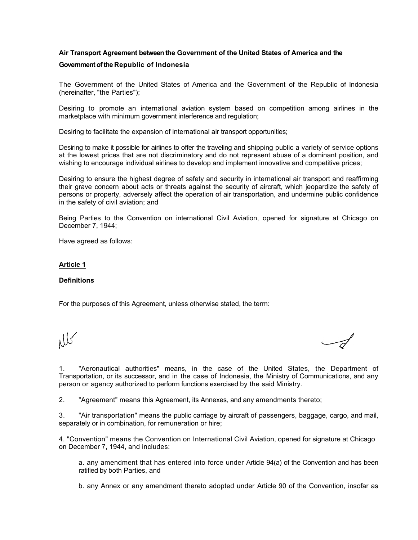# **Air Transport Agreement between the Government of the United States of America and the**

# **Government of the Republic of Indonesia**

The Government of the United States of America and the Government of the Republic of Indonesia (hereinafter, "the Parties");

Desiring to promote an international aviation system based on competition among airlines in the marketplace with minimum government interference and regulation;

Desiring to facilitate the expansion of international air transport opportunities;

Desiring to make it possible for airlines to offer the traveling and shipping public a variety of service options at the lowest prices that are not discriminatory and do not represent abuse of a dominant position, and wishing to encourage individual airlines to develop and implement innovative and competitive prices;

Desiring to ensure the highest degree of safety and security in international air transport and reaffirming their grave concern about acts or threats against the security of aircraft, which jeopardize the safety of persons or property, adversely affect the operation of air transportation, and undermine public confidence in the safety of civil aviation; and

Being Parties to the Convention on international Civil Aviation, opened for signature at Chicago on December 7, 1944;

Have agreed as follows:

# **Article 1**

# **Definitions**

For the purposes of this Agreement, unless otherwise stated, the term:

ill

1. "Aeronautical authorities" means, in the case of the United States, the Department of Transportation, or its successor, and in the case of Indonesia, the Ministry of Communications, and any person or agency authorized to perform functions exercised by the said Ministry.

2. "Agreement" means this Agreement, its Annexes, and any amendments thereto;

3. "Air transportation" means the public carriage by aircraft of passengers, baggage, cargo, and mail, separately or in combination, for remuneration or hire;

4. "Convention" means the Convention on International Civil Aviation, opened for signature at Chicago on December 7, 1944, and includes:

a. any amendment that has entered into force under Article 94(a) of the Convention and has been ratified by both Parties, and

b. any Annex or any amendment thereto adopted under Article 90 of the Convention, insofar as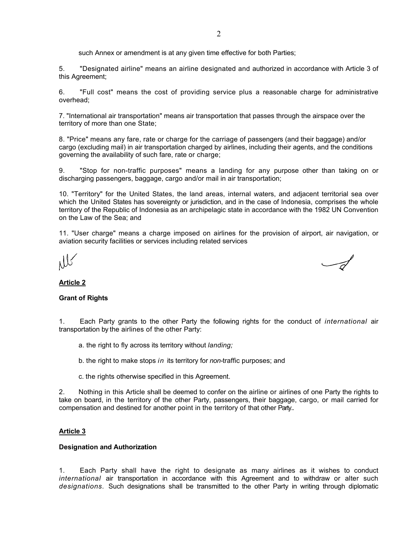such Annex or amendment is at any given time effective for both Parties;

5. "Designated airline" means an airline designated and authorized in accordance with Article 3 of this Agreement;

6. "Full cost" means the cost of providing service plus a reasonable charge for administrative overhead;

7. "International air transportation" means air transportation that passes through the airspace over the territory of more than one State;

8. "Price" means any fare, rate or charge for the carriage of passengers (and their baggage) and/or cargo (excluding mail) in air transportation charged by airlines, including their agents, and the conditions governing the availability of such fare, rate or charge;

9. "Stop for non-traffic purposes" means a landing for any purpose other than taking on or discharging passengers, baggage, cargo and/or mail in air transportation;

10. "Territory" for the United States, the land areas, internal waters, and adjacent territorial sea over which the United States has sovereignty or jurisdiction, and in the case of Indonesia, comprises the whole territory of the Republic of Indonesia as an archipelagic state in accordance with the 1982 UN Convention on the Law of the Sea; and

11. "User charge" means a charge imposed on airlines for the provision of airport, air navigation, or aviation security facilities or services including related services

 $\overline{\mathscr{A}}$ 

**Article 2**

# **Grant of Rights**

1. Each Party grants to the other Party the following rights for the conduct of *international* air transportation by the airlines of the other Party:

- a. the right to fly across its territory without *landing;*
- b. the right to make stops *in* its territory for *non-*traffic purposes; and
- c. the rights otherwise specified in this Agreement.

2. Nothing in this Article shall be deemed to confer on the airline or airlines of one Party the rights to take on board, in the territory of the other Party, passengers, their baggage, cargo, or mail carried for compensation and destined for another point in the territory of that other Party..

# **Article 3**

#### **Designation and Authorization**

1. Each Party shall have the right to designate as many airlines as it wishes to conduct *international* air transportation in accordance with this Agreement and to withdraw or alter such *designations.* Such designations shall be transmitted to the other Party in writing through diplomatic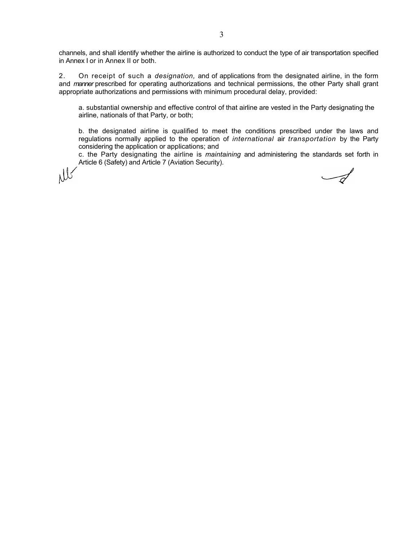channels, and shall identify whether the airline is authorized to conduct the type of air transportation specified in Annex I or in Annex II or both.

2. On receipt of such a *designation,* and of applications from the designated airline, in the form and *manner* prescribed for operating authorizations and technical permissions, the other Party shall grant appropriate authorizations and permissions with minimum procedural delay, provided:

a. substantial ownership and effective control of that airline are vested in the Party designating the airline, nationals of that Party, or both;

b. the designated airline is qualified to meet the conditions prescribed under the laws and regulations normally applied to the operation of *international* air *transportation* by the Party considering the application or applications; and

c. the Party designating the airline is *maintaining* and administering the standards set forth in Article 6 (Safety) and Article 7 (Aviation Security).

 $\sim$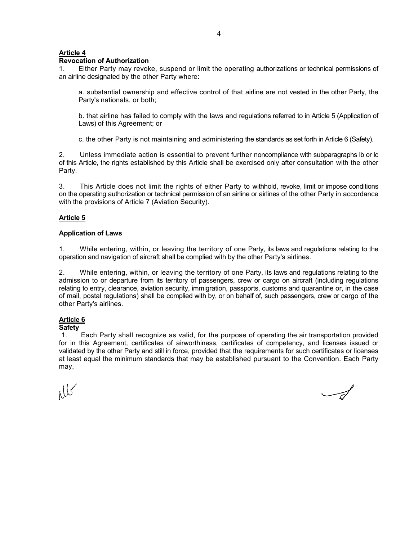# **Article 4**

#### **Revocation of Authorization**

1. Either Party may revoke, suspend or limit the operating authorizations or technical permissions of an airline designated by the other Party where:

a. substantial ownership and effective control of that airline are not vested in the other Party, the Party's nationals, or both;

b. that airline has failed to comply with the laws and regulations referred to in Article 5 (Application of Laws) of this Agreement; or

c. the other Party is not maintaining and administering the standards as set forth in Article 6 (Safety).

2. Unless immediate action is essential to prevent further noncompliance with subparagraphs lb or lc of this Article, the rights established by this Article shall be exercised only after consultation with the other Party.

3. This Article does not limit the rights of either Party to withhold, revoke, limit or impose conditions on the operating authorization or technical permission of an airline or airlines of the other Party in accordance with the provisions of Article 7 (Aviation Security).

# **Article 5**

## **Application of Laws**

1. While entering, within, or leaving the territory of one Party, its laws and regulations relating to the operation and navigation of aircraft shall be complied with by the other Party's airlines.

2. While entering, within, or leaving the territory of one Party, its laws and regulations relating to the admission to or departure from its territory of passengers, crew or cargo on aircraft (including regulations relating to entry, clearance, aviation security, immigration, passports, customs and quarantine or, in the case of mail, postal regulations) shall be complied with by, or on behalf of, such passengers, crew or cargo of the other Party's airlines.

# **Article 6**

#### **Safety**

1. Each Party shall recognize as valid, for the purpose of operating the air transportation provided for in this Agreement, certificates of airworthiness, certificates of competency, and licenses issued or validated by the other Party and still in force, provided that the requirements for such certificates or licenses at least equal the minimum standards that may be established pursuant to the Convention. Each Party may,

 $W$ 

 $\overline{\mathcal{A}}$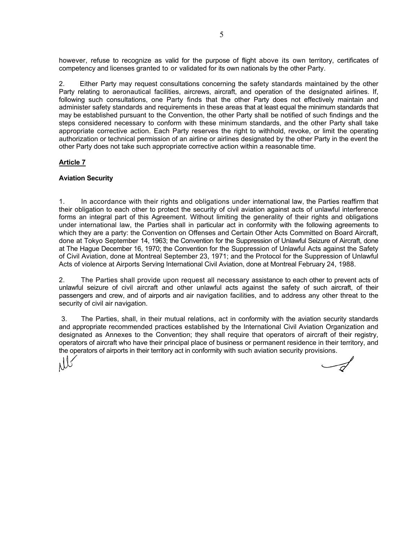however, refuse to recognize as valid for the purpose of flight above its own territory, certificates of competency and licenses granted to or validated for its own nationals by the other Party.

2. Either Party may request consultations concerning the safety standards maintained by the other Party relating to aeronautical facilities, aircrews, aircraft, and operation of the designated airlines. If, following such consultations, one Party finds that the other Party does not effectively maintain and administer safety standards and requirements in these areas that at least equal the minimum standards that may be established pursuant to the Convention, the other Party shall be notified of such findings and the steps considered necessary to conform with these minimum standards, and the other Party shall take appropriate corrective action. Each Party reserves the right to withhold, revoke, or limit the operating authorization or technical permission of an airline or airlines designated by the other Party in the event the other Party does not take such appropriate corrective action within a reasonable time.

# **Article 7**

## **Aviation Security**

1. In accordance with their rights and obligations under international law, the Parties reaffirm that their obligation to each other to protect the security of civil aviation against acts of unlawful interference forms an integral part of this Agreement. Without limiting the generality of their rights and obligations under international law, the Parties shall in particular act in conformity with the following agreements to which they are a party: the Convention on Offenses and Certain Other Acts Committed on Board Aircraft, done at Tokyo September 14, 1963; the Convention for the Suppression of Unlawful Seizure of Aircraft, done at The Hague December 16, 1970; the Convention for the Suppression of Unlawful Acts against the Safety of Civil Aviation, done at Montreal September 23, 1971; and the Protocol for the Suppression of Unlawful Acts of violence at Airports Serving International Civil Aviation, done at Montreal February 24, 1988.

2. The Parties shall provide upon request all necessary assistance to each other to prevent acts of unlawful seizure of civil aircraft and other unlawful acts against the safety of such aircraft, of their passengers and crew, and of airports and air navigation facilities, and to address any other threat to the security of civil air navigation.

3. The Parties, shall, in their mutual relations, act in conformity with the aviation security standards and appropriate recommended practices established by the International Civil Aviation Organization and designated as Annexes to the Convention; they shall require that operators of aircraft of their registry, operators of aircraft who have their principal place of business or permanent residence in their territory, and the operators of airports in their territory act in conformity with such aviation security provisions.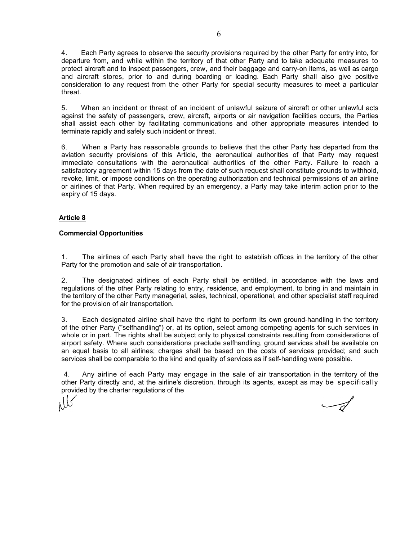4. Each Party agrees to observe the security provisions required by the other Party for entry into, for departure from, and while within the territory of that other Party and to take adequate measures to protect aircraft and to inspect passengers, crew, and their baggage and carry-on items, as well as cargo and aircraft stores, prior to and during boarding or loading. Each Party shall also give positive consideration to any request from the other Party for special security measures to meet a particular threat.

5. When an incident or threat of an incident of unlawful seizure of aircraft or other unlawful acts against the safety of passengers, crew, aircraft, airports or air navigation facilities occurs, the Parties shall assist each other by facilitating communications and other appropriate measures intended to terminate rapidly and safely such incident or threat.

6. When a Party has reasonable grounds to believe that the other Party has departed from the aviation security provisions of this Article, the aeronautical authorities of that Party may request immediate consultations with the aeronautical authorities of the other Party. Failure to reach a satisfactory agreement within 15 days from the date of such request shall constitute grounds to withhold, revoke, limit, or impose conditions on the operating authorization and technical permissions of an airline or airlines of that Party. When required by an emergency, a Party may take interim action prior to the expiry of 15 days.

# **Article 8**

# **Commercial Opportunities**

1. The airlines of each Party shall have the right to establish offices in the territory of the other Party for the promotion and sale of air transportation.

2. The designated airlines of each Party shall be entitled, in accordance with the laws and regulations of the other Party relating to entry, residence, and employment, to bring in and maintain in the territory of the other Party managerial, sales, technical, operational, and other specialist staff required for the provision of air transportation.

3. Each designated airline shall have the right to perform its own ground-handling in the territory of the other Party ("selfhandling") or, at its option, select among competing agents for such services in whole or in part. The rights shall be subject only to physical constraints resulting from considerations of airport safety. Where such considerations preclude selfhandling, ground services shall be available on an equal basis to all airlines; charges shall be based on the costs of services provided; and such services shall be comparable to the kind and quality of services as if self-handling were possible.

4. Any airline of each Party may engage in the sale of air transportation in the territory of the other Party directly and, at the airline's discretion, through its agents, except as may be specifically provided by the charter regulations of the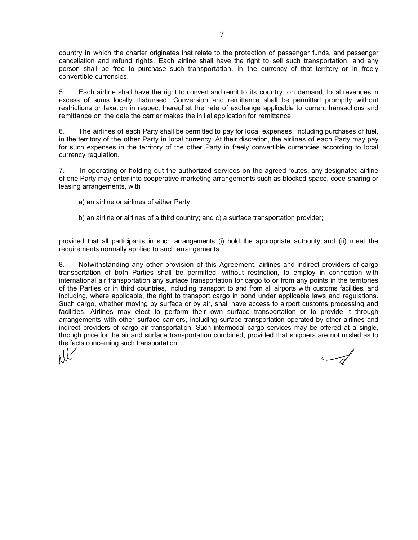country in which the charter originates that relate to the protection of passenger funds, and passenger cancellation and refund rights. Each airline shall have the right to sell such transportation, and any person shall be free to purchase such transportation, in the currency of that territory or in freely convertible currencies.

5. Each airline shall have the right to convert and remit to its country, on demand, local revenues in excess of sums locally disbursed. Conversion and remittance shall be permitted promptly without restrictions or taxation in respect thereof at the rate of exchange applicable to current transactions and remittance on the date the carrier makes the initial application for remittance.

6. The airlines of each Party shall be permitted to pay for local expenses, including purchases of fuel, in the territory of the other Party in local currency. At their discretion, the airlines of each Party may pay for such expenses in the territory of the other Party in freely convertible currencies according to local currency regulation.

7. In operating or holding out the authorized services on the agreed routes, any designated airline of one Party may enter into cooperative marketing arrangements such as blocked-space, code-sharing or leasing arrangements, with

- a) an airline or airlines of either Party;
- b) an airline or airlines of a third country; and c) a surface transportation provider;

provided that all participants in such arrangements (i) hold the appropriate authority and (ii) meet the requirements normally applied to such arrangements.

8. Notwithstanding any other provision of this Agreement, airlines and indirect providers of cargo transportation of both Parties shall be permitted, without restriction, to employ in connection with international air transportation any surface transportation for cargo to or from any points in the territories of the Parties or in third countries, including transport to and from all airports with customs facilities, and including, where applicable, the right to transport cargo in bond under applicable laws and regulations. Such cargo, whether moving by surface or by air, shall have access to airport customs processing and facilities. Airlines may elect to perform their own surface transportation or to provide it through arrangements with other surface carriers, including surface transportation operated by other airlines and indirect providers of cargo air transportation. Such intermodal cargo services may be offered at a single, through price for the air and surface transportation combined, provided that shippers are not misled as to the facts concerning such transportation.

 $\neg\neg\neg$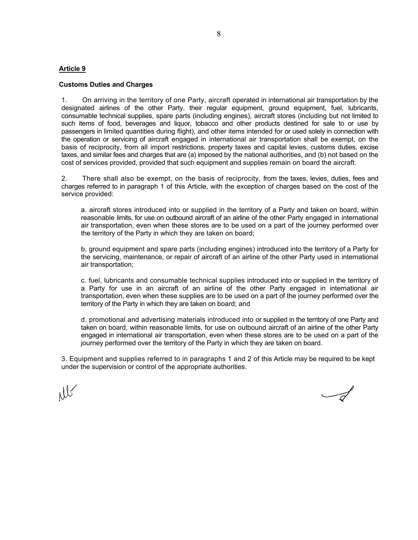## **Article 9**

#### **Customs Duties and Charges**

1. On arriving in the territory of one Party, aircraft operated in international air transportation by the designated airlines of the other Party, their regular equipment, ground equipment, fuel, lubricants, consumable technical supplies, spare parts (including engines), aircraft stores (including but not limited to such items of food, beverages and liquor, tobacco and other products destined for sale to or use by passengers in limited quantities during flight), and other items intended for or used solely in connection with the operation or servicing of aircraft engaged in international air transportation shall be exempt, on the basis of reciprocity, from all import restrictions, property taxes and capital levies, customs duties, excise taxes, and similar fees and charges that are (a) imposed by the national authorities, and (b) not based on the cost of services provided, provided that such equipment and supplies remain on board the aircraft.

2. There shall also be exempt, on the basis of reciprocity, from the taxes, levies, duties, fees and charges referred to in paragraph 1 of this Article, with the exception of charges based on the cost of the service provided:

a. aircraft stores introduced into or supplied in the territory of a Party and taken on board, within reasonable limits, for use on outbound aircraft of an airline of the other Party engaged in international air transportation, even when these stores are to be used on a part of the journey performed over the territory of the Party in which they are taken on board;

b, ground equipment and spare parts (including engines) introduced into the territory of a Party for the servicing, maintenance, or repair of aircraft of an airline of the other Party used in international air transportation;

c. fuel, lubricants and consumable technical supplies introduced into or supplied in the territory of a Party for use in an aircraft of an airline of the other Party engaged in international air transportation, even when these supplies are to be used on a part of the journey performed over the territory of the Party in which they are taken on board; and

d. promotional and advertising materials introduced into or supplied in the territory of one Party and taken on board, within reasonable limits, for use on outbound aircraft of an airline of the other Party engaged in international air transportation, even when these stores are to be used on a part of the journey performed over the territory of the Party in which they are taken on board.

3. Equipment and supplies referred to in paragraphs 1 and 2 of this Article may be required to be kept under the supervision or control of the appropriate authorities.

ill

 $\overline{\mathscr{A}}$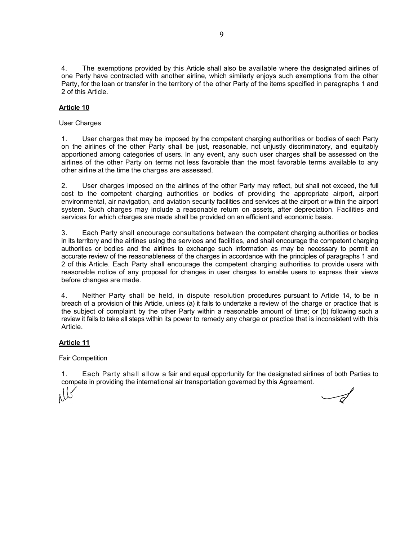4. The exemptions provided by this Article shall also be available where the designated airlines of one Party have contracted with another airline, which similarly enjoys such exemptions from the other Party, for the loan or transfer in the territory of the other Party of the items specified in paragraphs 1 and 2 of this Article.

# **Article 10**

# User Charges

1. User charges that may be imposed by the competent charging authorities or bodies of each Party on the airlines of the other Party shall be just, reasonable, not unjustly discriminatory, and equitably apportioned among categories of users. In any event, any such user charges shall be assessed on the airlines of the other Party on terms not less favorable than the most favorable terms available to any other airline at the time the charges are assessed.

2. User charges imposed on the airlines of the other Party may reflect, but shall not exceed, the full cost to the competent charging authorities or bodies of providing the appropriate airport, airport environmental, air navigation, and aviation security facilities and services at the airport or within the airport system. Such charges may include a reasonable return on assets, after depreciation. Facilities and services for which charges are made shall be provided on an efficient and economic basis.

3. Each Party shall encourage consultations between the competent charging authorities or bodies in its territory and the airlines using the services and facilities, and shall encourage the competent charging authorities or bodies and the airlines to exchange such information as may be necessary to permit an accurate review of the reasonableness of the charges in accordance with the principles of paragraphs 1 and 2 of this Article. Each Party shall encourage the competent charging authorities to provide users with reasonable notice of any proposal for changes in user charges to enable users to express their views before changes are made.

4. Neither Party shall be held, in dispute resolution procedures pursuant to Article 14, to be in breach of a provision of this Article, unless (a) it fails to undertake a review of the charge or practice that is the subject of complaint by the other Party within a reasonable amount of time; or (b) following such a review it fails to take all steps within its power to remedy any charge or practice that is inconsistent with this Article.

# **Article 11**

Fair Competition

1. Each Party shall allow a fair and equal opportunity for the designated airlines of both Parties to compete in providing the international air transportation governed by this Agreement.

 $\overline{\mathscr{d}}$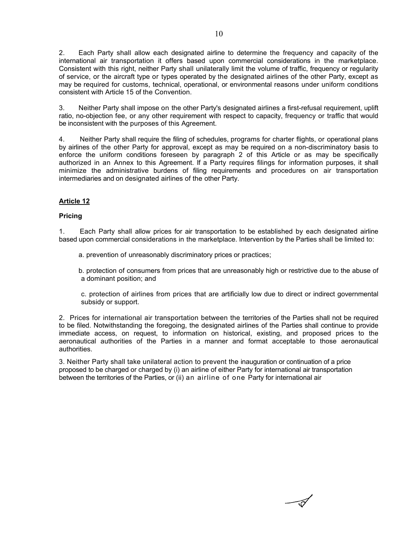2. Each Party shall allow each designated airline to determine the frequency and capacity of the international air transportation it offers based upon commercial considerations in the marketplace. Consistent with this right, neither Party shall unilaterally limit the volume of traffic, frequency or regularity of service, or the aircraft type or types operated by the designated airlines of the other Party, except as may be required for customs, technical, operational, or environmental reasons under uniform conditions consistent with Article 15 of the Convention.

3. Neither Party shall impose on the other Party's designated airlines a first-refusal requirement, uplift ratio, no-objection fee, or any other requirement with respect to capacity, frequency or traffic that would be inconsistent with the purposes of this Agreement.

4. Neither Party shall require the filing of schedules, programs for charter flights, or operational plans by airlines of the other Party for approval, except as may be required on a non-discriminatory basis to enforce the uniform conditions foreseen by paragraph 2 of this Article or as may be specifically authorized in an Annex to this Agreement. If a Party requires filings for information purposes, it shall minimize the administrative burdens of filing requirements and procedures on air transportation intermediaries and on designated airlines of the other Party.

# **Article 12**

# **Pricing**

1. Each Party shall allow prices for air transportation to be established by each designated airline based upon commercial considerations in the marketplace. Intervention by the Parties shall be limited to:

a. prevention of unreasonably discriminatory prices or practices;

b. protection of consumers from prices that are unreasonably high or restrictive due to the abuse of a dominant position; and

c. protection of airlines from prices that are artificially low due to direct or indirect governmental subsidy or support.

 $\neg \mathcal{J}$ 

2. Prices for international air transportation between the territories of the Parties shall not be required to be filed. Notwithstanding the foregoing, the designated airlines of the Parties shall continue to provide immediate access, on request, to information on historical, existing, and proposed prices to the aeronautical authorities of the Parties in a manner and format acceptable to those aeronautical authorities.

3. Neither Party shall take unilateral action to prevent the inauguration or continuation of a price proposed to be charged or charged by (i) an airline of either Party for international air transportation between the territories of the Parties, or (ii) an airline of one Party for international air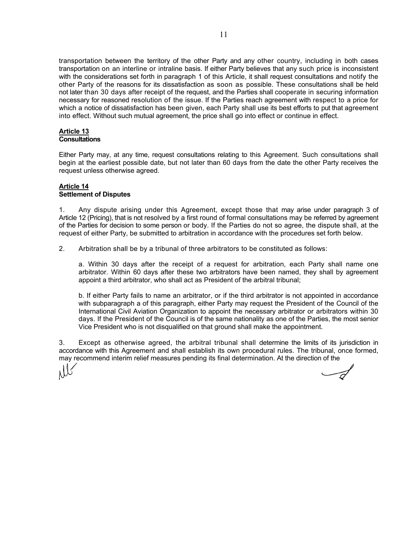transportation between the territory of the other Party and any other country, including in both cases transportation on an interline or intraline basis. If either Party believes that any such price is inconsistent with the considerations set forth in paragraph 1 of this Article, it shall request consultations and notify the other Party of the reasons for its dissatisfaction as soon as possible. These consultations shall be held not later than 30 days after receipt of the request, and the Parties shall cooperate in securing information necessary for reasoned resolution of the issue. If the Parties reach agreement with respect to a price for which a notice of dissatisfaction has been given, each Party shall use its best efforts to put that agreement into effect. Without such mutual agreement, the price shall go into effect or continue in effect.

# **Article 13**

# **Consultations**

Either Party may, at any time, request consultations relating to this Agreement. Such consultations shall begin at the earliest possible date, but not later than 60 days from the date the other Party receives the request unless otherwise agreed.

## **Article 14 Settlement of Disputes**

1. Any dispute arising under this Agreement, except those that may arise under paragraph 3 of Article 12 (Pricing), that is not resolved by a first round of formal consultations may be referred by agreement of the Parties for decision to some person or body. If the Parties do not so agree, the dispute shall, at the request of either Party, be submitted to arbitration in accordance with the procedures set forth below.

2. Arbitration shall be by a tribunal of three arbitrators to be constituted as follows:

a. Within 30 days after the receipt of a request for arbitration, each Party shall name one arbitrator. Within 60 days after these two arbitrators have been named, they shall by agreement appoint a third arbitrator, who shall act as President of the arbitral tribunal;

b. If either Party fails to name an arbitrator, or if the third arbitrator is not appointed in accordance with subparagraph a of this paragraph, either Party may request the President of the Council of the International Civil Aviation Organization to appoint the necessary arbitrator or arbitrators within 30 days. If the President of the Council is of the same nationality as one of the Parties, the most senior Vice President who is not disqualified on that ground shall make the appointment.

3. Except as otherwise agreed, the arbitral tribunal shall determine the limits of its jurisdiction in accordance with this Agreement and shall establish its own procedural rules. The tribunal, once formed, may recommend interim relief measures pending its final determination. At the direction of the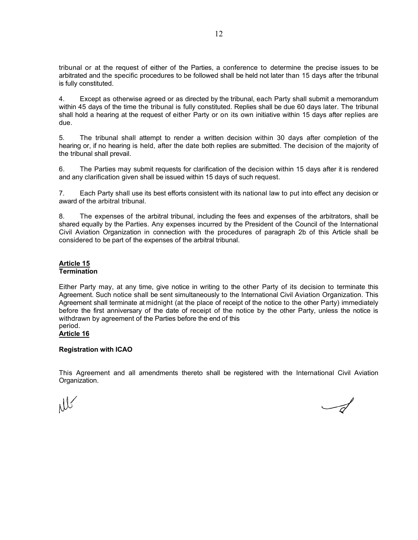tribunal or at the request of either of the Parties, a conference to determine the precise issues to be arbitrated and the specific procedures to be followed shall be held not later than 15 days after the tribunal is fully constituted.

4. Except as otherwise agreed or as directed by the tribunal, each Party shall submit a memorandum within 45 days of the time the tribunal is fully constituted. Replies shall be due 60 days later. The tribunal shall hold a hearing at the request of either Party or on its own initiative within 15 days after replies are due.

5. The tribunal shall attempt to render a written decision within 30 days after completion of the hearing or, if no hearing is held, after the date both replies are submitted. The decision of the majority of the tribunal shall prevail.

6. The Parties may submit requests for clarification of the decision within 15 days after it is rendered and any clarification given shall be issued within 15 days of such request.

7. Each Party shall use its best efforts consistent with its national law to put into effect any decision or award of the arbitral tribunal.

8. The expenses of the arbitral tribunal, including the fees and expenses of the arbitrators, shall be shared equally by the Parties. Any expenses incurred by the President of the Council of the International Civil Aviation Organization in connection with the procedures of paragraph 2b of this Article shall be considered to be part of the expenses of the arbitral tribunal.

## **Article 15 Termination**

Either Party may, at any time, give notice in writing to the other Party of its decision to terminate this Agreement. Such notice shall be sent simultaneously to the International Civil Aviation Organization. This Agreement shall terminate at midnight (at the place of receipt of the notice to the other Party) immediately before the first anniversary of the date of receipt of the notice by the other Party, unless the notice is withdrawn by agreement of the Parties before the end of this period.

# **Article 16**

# **Registration with ICAO**

This Agreement and all amendments thereto shall be registered with the International Civil Aviation Organization.

 $\overline{\mathcal{A}}$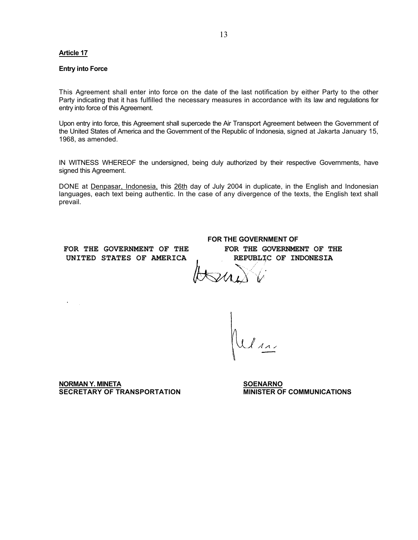#### **Article 17**

#### **Entry into Force**

This Agreement shall enter into force on the date of the last notification by either Party to the other Party indicating that it has fulfilled the necessary measures in accordance with its law and regulations for entry into force of this Agreement.

Upon entry into force, this Agreement shall supercede the Air Transport Agreement between the Government of the United States of America and the Government of the Republic of Indonesia, signed at Jakarta January 15, 1968, as amended.

IN WITNESS WHEREOF the undersigned, being duly authorized by their respective Governments, have signed this Agreement.

DONE at Denpasar, Indonesia, this 26th day of July 2004 in duplicate, in the English and Indonesian languages, each text being authentic. In the case of any divergence of the texts, the English text shall prevail.

**FOR THE GOVERNMENT OF THE UNITED STATES OF AMERICA** 

**FOR THE GOVERNMENT OF FOR THE GOVERNMENT OF THE REPUBLIC OF INDONESIA** 

 $\frac{1}{2}$ 

 $\Lambda$ 

**NORMAN Y. MINETA SOENARNO SECRETARY OF TRANSPORTATION**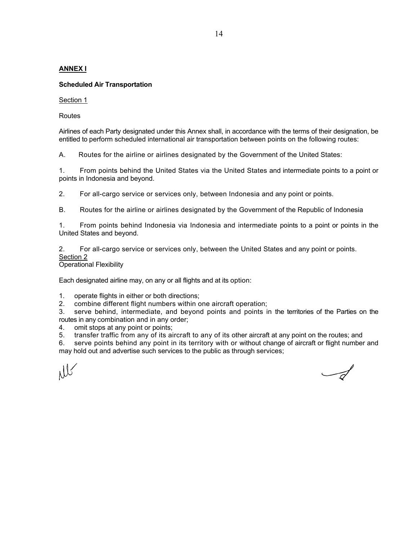# **ANNEX I**

## **Scheduled Air Transportation**

Section 1

**Routes** 

Airlines of each Party designated under this Annex shall, in accordance with the terms of their designation, be entitled to perform scheduled international air transportation between points on the following routes:

A. Routes for the airline or airlines designated by the Government of the United States:

1. From points behind the United States via the United States and intermediate points to a point or points in Indonesia and beyond.

2. For all-cargo service or services only, between Indonesia and any point or points.

B. Routes for the airline or airlines designated by the Government of the Republic of Indonesia

1. From points behind Indonesia via Indonesia and intermediate points to a point or points in the United States and beyond.

2. For all-cargo service or services only, between the United States and any point or points. Section 2

Operational Flexibility

Each designated airline may, on any or all flights and at its option:

- 1. operate flights in either or both directions;
- 2. combine different flight numbers within one aircraft operation;

3. serve behind, intermediate, and beyond points and points in the territories of the Parties on the routes in any combination and in any order;

- 4. omit stops at any point or points;
- 5. transfer traffic from any of its aircraft to any of its other aircraft at any point on the routes; and

6. serve points behind any point in its territory with or without change of aircraft or flight number and may hold out and advertise such services to the public as through services;

 $\sim$ d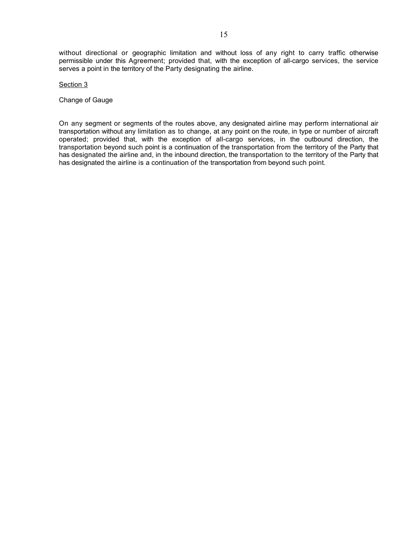without directional or geographic limitation and without loss of any right to carry traffic otherwise permissible under this Agreement; provided that, with the exception of all-cargo services, the service serves a point in the territory of the Party designating the airline.

Section 3

Change of Gauge

On any segment or segments of the routes above, any designated airline may perform international air transportation without any limitation as to change, at any point on the route, in type or number of aircraft operated; provided that, with the exception of all-cargo services, in the outbound direction, the transportation beyond such point is a continuation of the transportation from the territory of the Party that has designated the airline and, in the inbound direction, the transportation to the territory of the Party that has designated the airline is a continuation of the transportation from beyond such point.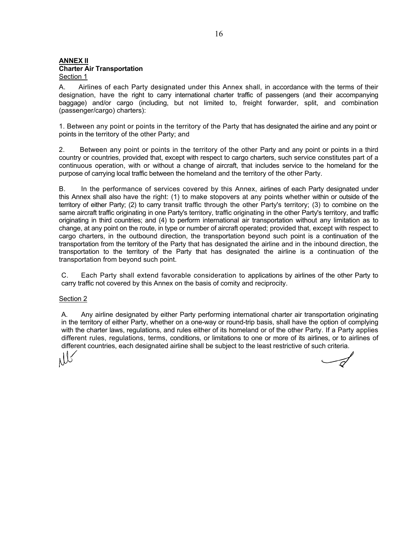## **ANNEX II Charter Air Transportation**  Section 1

A. Airlines of each Party designated under this Annex shall, in accordance with the terms of their designation, have the right to carry international charter traffic of passengers (and their accompanying baggage) and/or cargo (including, but not limited to, freight forwarder, split, and combination (passenger/cargo) charters):

1. Between any point or points in the territory of the Party that has designated the airline and any point or points in the territory of the other Party; and

2. Between any point or points in the territory of the other Party and any point or points in a third country or countries, provided that, except with respect to cargo charters, such service constitutes part of a continuous operation, with or without a change of aircraft, that includes service to the homeland for the purpose of carrying local traffic between the homeland and the territory of the other Party.

B. In the performance of services covered by this Annex, airlines of each Party designated under this Annex shall also have the right: (1) to make stopovers at any points whether within or outside of the territory of either Party; (2) to carry transit traffic through the other Party's territory; (3) to combine on the same aircraft traffic originating in one Party's territory, traffic originating in the other Party's territory, and traffic originating in third countries; and (4) to perform international air transportation without any limitation as to change, at any point on the route, in type or number of aircraft operated; provided that, except with respect to cargo charters, in the outbound direction, the transportation beyond such point is a continuation of the transportation from the territory of the Party that has designated the airline and in the inbound direction, the transportation to the territory of the Party that has designated the airline is a continuation of the transportation from beyond such point.

C. Each Party shall extend favorable consideration to applications by airlines of the other Party to carry traffic not covered by this Annex on the basis of comity and reciprocity.

# Section 2

A. Any airline designated by either Party performing international charter air transportation originating in the territory of either Party, whether on a one-way or round-trip basis, shall have the option of complying with the charter laws, regulations, and rules either of its homeland or of the other Party. If a Party applies different rules, regulations, terms, conditions, or limitations to one or more of its airlines, or to airlines of different countries, each designated airline shall be subject to the least restrictive of such criteria.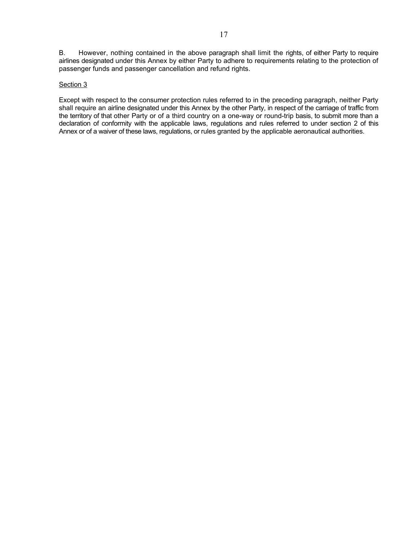B. However, nothing contained in the above paragraph shall limit the rights, of either Party to require airlines designated under this Annex by either Party to adhere to requirements relating to the protection of passenger funds and passenger cancellation and refund rights.

# Section 3

Except with respect to the consumer protection rules referred to in the preceding paragraph, neither Party shall require an airline designated under this Annex by the other Party, in respect of the carriage of traffic from the territory of that other Party or of a third country on a one-way or round-trip basis, to submit more than a declaration of conformity with the applicable laws, regulations and rules referred to under section 2 of this Annex or of a waiver of these laws, regulations, or rules granted by the applicable aeronautical authorities.